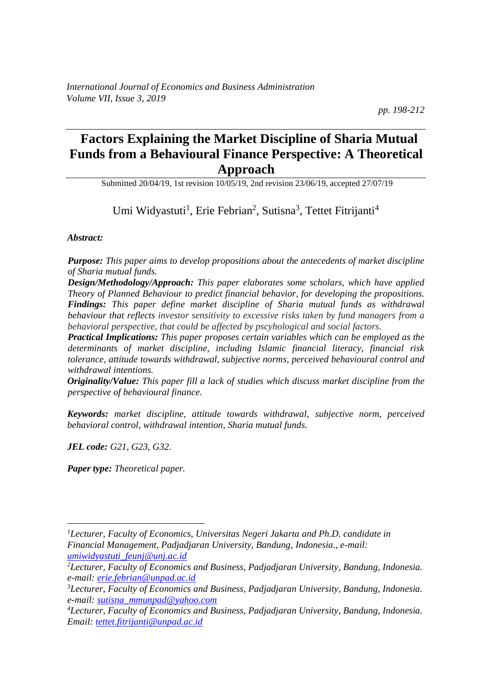*pp. 198-212*

# **Factors Explaining the Market Discipline of Sharia Mutual Funds from a Behavioural Finance Perspective: A Theoretical Approach**

Submitted 20/04/19, 1st revision 10/05/19, 2nd revision 23/06/19, accepted 27/07/19

Umi Widyastuti<sup>1</sup>, Erie Febrian<sup>2</sup>, Sutisna<sup>3</sup>, Tettet Fitrijanti<sup>4</sup>

*Abstract:* 

*Purpose: This paper aims to develop propositions about the antecedents of market discipline of Sharia mutual funds.*

*Design/Methodology/Approach: This paper elaborates some scholars, which have applied Theory of Planned Behaviour to predict financial behavior, for developing the propositions. Findings: This paper define market discipline of Sharia mutual funds as withdrawal behaviour that reflects investor sensitivity to excessive risks taken by fund managers from a behavioral perspective, that could be affected by pscyhological and social factors.*

*Practical Implications: This paper proposes certain variables which can be employed as the determinants of market discipline, including Islamic financial literacy, financial risk tolerance, attitude towards withdrawal, subjective norms, perceived behavioural control and withdrawal intentions.*

*Originality/Value: This paper fill a lack of studies which discuss market discipline from the perspective of behavioural finance.* 

*Keywords: market discipline, attitude towards withdrawal, subjective norm, perceived behavioral control, withdrawal intention, Sharia mutual funds.*

*JEL code: G21, G23, G32.*

*Paper type: Theoretical paper.*

*<sup>1</sup>Lecturer, Faculty of Economics, Universitas Negeri Jakarta and Ph.D. candidate in Financial Management, Padjadjaran University, Bandung, Indonesia., e-mail: [umiwidyastuti\\_feunj@unj.ac.id](mailto:umiwidyastuti_feunj@unj.ac.id)*

*<sup>2</sup>Lecturer, Faculty of Economics and Business, Padjadjaran University, Bandung, Indonesia. e-mail: [erie.febrian@unpad.ac.id](mailto:erie.febrian@unpad.ac.id)*

<sup>3</sup>*Lecturer, Faculty of Economics and Business, Padjadjaran University, Bandung, Indonesia. e-mail: [sutisna\\_mmunpad@yahoo.com](mailto:sutisna_mmunpad@yahoo.com)*

*<sup>4</sup>Lecturer, Faculty of Economics and Business, Padjadjaran University, Bandung, Indonesia. Email: [tettet.fitrijanti@unpad.ac.id](mailto:tettet.fitrijanti@unpad.ac.id)*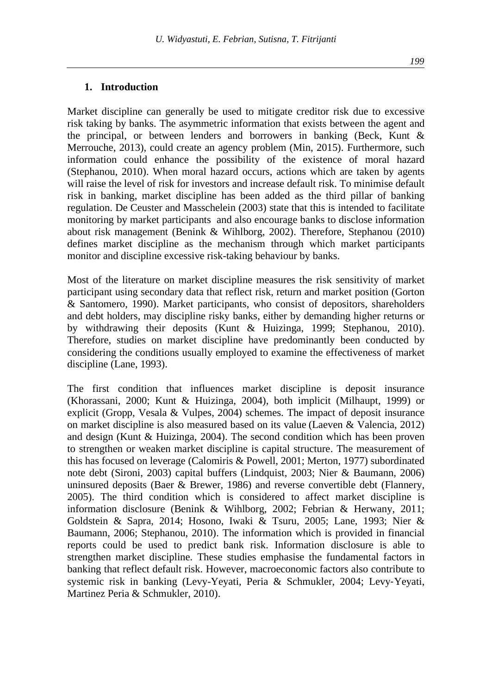Market discipline can generally be used to mitigate creditor risk due to excessive risk taking by banks. The asymmetric information that exists between the agent and the principal, or between lenders and borrowers in banking (Beck, Kunt & Merrouche, 2013), could create an agency problem (Min, 2015). Furthermore, such information could enhance the possibility of the existence of moral hazard (Stephanou, 2010). When moral hazard occurs, actions which are taken by agents will raise the level of risk for investors and increase default risk. To minimise default risk in banking, market discipline has been added as the third pillar of banking regulation. De Ceuster and Masschelein (2003) state that this is intended to facilitate monitoring by market participants and also encourage banks to disclose information about risk management (Benink & Wihlborg, 2002). Therefore, Stephanou (2010) defines market discipline as the mechanism through which market participants monitor and discipline excessive risk-taking behaviour by banks.

Most of the literature on market discipline measures the risk sensitivity of market participant using secondary data that reflect risk, return and market position (Gorton & Santomero, 1990). Market participants, who consist of depositors, shareholders and debt holders, may discipline risky banks, either by demanding higher returns or by withdrawing their deposits (Kunt & Huizinga, 1999; Stephanou, 2010). Therefore, studies on market discipline have predominantly been conducted by considering the conditions usually employed to examine the effectiveness of market discipline (Lane, 1993).

The first condition that influences market discipline is deposit insurance (Khorassani, 2000; Kunt & Huizinga, 2004), both implicit (Milhaupt, 1999) or explicit (Gropp, Vesala & Vulpes, 2004) schemes. The impact of deposit insurance on market discipline is also measured based on its value (Laeven & Valencia, 2012) and design (Kunt & Huizinga, 2004). The second condition which has been proven to strengthen or weaken market discipline is capital structure. The measurement of this has focused on leverage (Calomiris & Powell, 2001; Merton, 1977) subordinated note debt (Sironi, 2003) capital buffers (Lindquist, 2003; Nier & Baumann, 2006) uninsured deposits (Baer & Brewer, 1986) and reverse convertible debt (Flannery, 2005). The third condition which is considered to affect market discipline is information disclosure (Benink & Wihlborg, 2002; Febrian & Herwany, 2011; Goldstein & Sapra, 2014; Hosono, Iwaki & Tsuru, 2005; Lane, 1993; Nier & Baumann, 2006; Stephanou, 2010). The information which is provided in financial reports could be used to predict bank risk. Information disclosure is able to strengthen market discipline. These studies emphasise the fundamental factors in banking that reflect default risk. However, macroeconomic factors also contribute to systemic risk in banking (Levy-Yeyati, Peria & Schmukler, 2004; Levy‐Yeyati, Martinez Peria & Schmukler, 2010).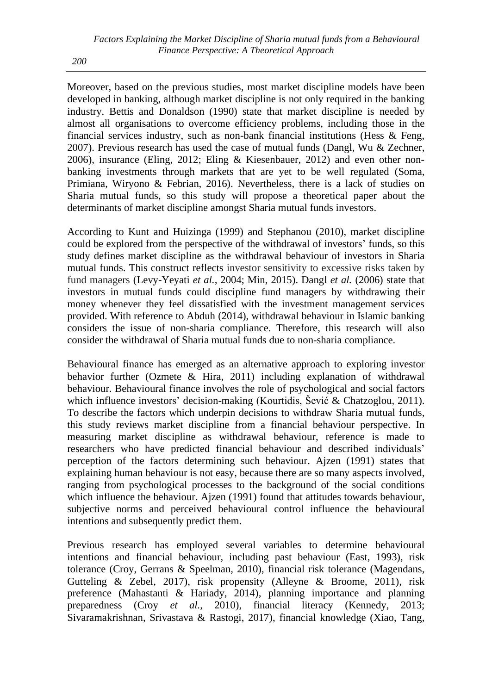Moreover, based on the previous studies, most market discipline models have been developed in banking, although market discipline is not only required in the banking industry. Bettis and Donaldson (1990) state that market discipline is needed by almost all organisations to overcome efficiency problems, including those in the financial services industry, such as non-bank financial institutions (Hess & Feng, 2007). Previous research has used the case of mutual funds (Dangl, Wu & Zechner, 2006), insurance (Eling, 2012; Eling & Kiesenbauer, 2012) and even other nonbanking investments through markets that are yet to be well regulated (Soma, Primiana, Wiryono & Febrian, 2016). Nevertheless, there is a lack of studies on Sharia mutual funds, so this study will propose a theoretical paper about the determinants of market discipline amongst Sharia mutual funds investors.

According to Kunt and Huizinga (1999) and Stephanou (2010), market discipline could be explored from the perspective of the withdrawal of investors' funds, so this study defines market discipline as the withdrawal behaviour of investors in Sharia mutual funds. This construct reflects investor sensitivity to excessive risks taken by fund managers (Levy-Yeyati *et al.,* 2004; Min, 2015). Dangl *et al.* (2006) state that investors in mutual funds could discipline fund managers by withdrawing their money whenever they feel dissatisfied with the investment management services provided. With reference to Abduh (2014), withdrawal behaviour in Islamic banking considers the issue of non-sharia compliance. Therefore, this research will also consider the withdrawal of Sharia mutual funds due to non-sharia compliance.

Behavioural finance has emerged as an alternative approach to exploring investor behavior further (Ozmete & Hira, 2011) including explanation of withdrawal behaviour. Behavioural finance involves the role of psychological and social factors which influence investors' decision-making (Kourtidis, Šević & Chatzoglou, 2011). To describe the factors which underpin decisions to withdraw Sharia mutual funds, this study reviews market discipline from a financial behaviour perspective. In measuring market discipline as withdrawal behaviour, reference is made to researchers who have predicted financial behaviour and described individuals' perception of the factors determining such behaviour. Ajzen (1991) states that explaining human behaviour is not easy, because there are so many aspects involved, ranging from psychological processes to the background of the social conditions which influence the behaviour. Ajzen (1991) found that attitudes towards behaviour, subjective norms and perceived behavioural control influence the behavioural intentions and subsequently predict them.

Previous research has employed several variables to determine behavioural intentions and financial behaviour, including past behaviour (East, 1993), risk tolerance (Croy, Gerrans & Speelman, 2010), financial risk tolerance (Magendans, Gutteling & Zebel, 2017), risk propensity (Alleyne & Broome, 2011), risk preference (Mahastanti & Hariady, 2014), planning importance and planning preparedness (Croy *et al.,* 2010), financial literacy (Kennedy, 2013; Sivaramakrishnan, Srivastava & Rastogi, 2017), financial knowledge (Xiao, Tang,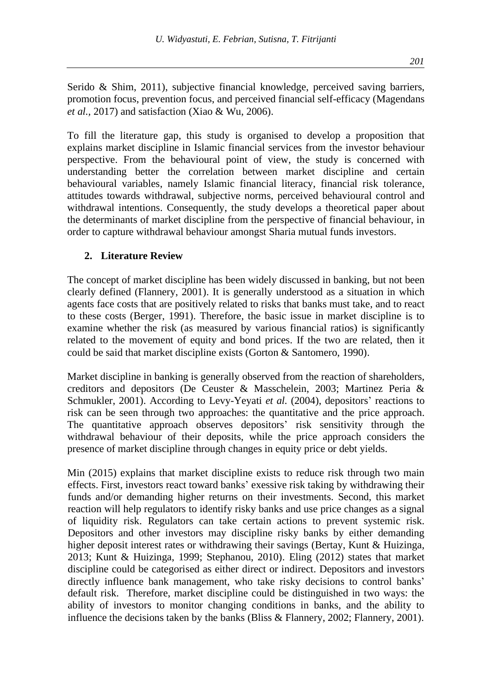Serido & Shim, 2011), subjective financial knowledge, perceived saving barriers, promotion focus, prevention focus, and perceived financial self-efficacy (Magendans *et al.,* 2017) and satisfaction (Xiao & Wu, 2006).

To fill the literature gap, this study is organised to develop a proposition that explains market discipline in Islamic financial services from the investor behaviour perspective. From the behavioural point of view, the study is concerned with understanding better the correlation between market discipline and certain behavioural variables, namely Islamic financial literacy, financial risk tolerance, attitudes towards withdrawal, subjective norms, perceived behavioural control and withdrawal intentions. Consequently, the study develops a theoretical paper about the determinants of market discipline from the perspective of financial behaviour, in order to capture withdrawal behaviour amongst Sharia mutual funds investors.

### **2. Literature Review**

The concept of market discipline has been widely discussed in banking, but not been clearly defined (Flannery, 2001). It is generally understood as a situation in which agents face costs that are positively related to risks that banks must take, and to react to these costs (Berger, 1991). Therefore, the basic issue in market discipline is to examine whether the risk (as measured by various financial ratios) is significantly related to the movement of equity and bond prices. If the two are related, then it could be said that market discipline exists (Gorton & Santomero, 1990).

Market discipline in banking is generally observed from the reaction of shareholders, creditors and depositors (De Ceuster & Masschelein, 2003; Martinez Peria & Schmukler, 2001). According to Levy-Yeyati *et al.* (2004), depositors' reactions to risk can be seen through two approaches: the quantitative and the price approach. The quantitative approach observes depositors' risk sensitivity through the withdrawal behaviour of their deposits, while the price approach considers the presence of market discipline through changes in equity price or debt yields.

Min (2015) explains that market discipline exists to reduce risk through two main effects. First, investors react toward banks' exessive risk taking by withdrawing their funds and/or demanding higher returns on their investments. Second, this market reaction will help regulators to identify risky banks and use price changes as a signal of liquidity risk. Regulators can take certain actions to prevent systemic risk. Depositors and other investors may discipline risky banks by either demanding higher deposit interest rates or withdrawing their savings (Bertay, Kunt & Huizinga, 2013; Kunt & Huizinga, 1999; Stephanou, 2010). Eling (2012) states that market discipline could be categorised as either direct or indirect. Depositors and investors directly influence bank management, who take risky decisions to control banks' default risk. Therefore, market discipline could be distinguished in two ways: the ability of investors to monitor changing conditions in banks, and the ability to influence the decisions taken by the banks (Bliss & Flannery, 2002; Flannery, 2001).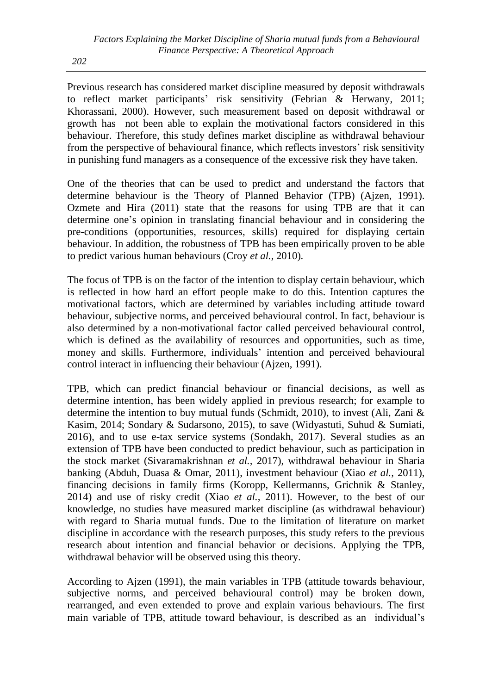Previous research has considered market discipline measured by deposit withdrawals to reflect market participants' risk sensitivity (Febrian & Herwany, 2011; Khorassani, 2000). However, such measurement based on deposit withdrawal or growth has not been able to explain the motivational factors considered in this behaviour. Therefore, this study defines market discipline as withdrawal behaviour from the perspective of behavioural finance, which reflects investors' risk sensitivity in punishing fund managers as a consequence of the excessive risk they have taken.

One of the theories that can be used to predict and understand the factors that determine behaviour is the Theory of Planned Behavior (TPB) (Ajzen, 1991). Ozmete and Hira (2011) state that the reasons for using TPB are that it can determine one's opinion in translating financial behaviour and in considering the pre-conditions (opportunities, resources, skills) required for displaying certain behaviour. In addition, the robustness of TPB has been empirically proven to be able to predict various human behaviours (Croy *et al.,* 2010).

The focus of TPB is on the factor of the intention to display certain behaviour, which is reflected in how hard an effort people make to do this. Intention captures the motivational factors, which are determined by variables including attitude toward behaviour, subjective norms, and perceived behavioural control. In fact, behaviour is also determined by a non-motivational factor called perceived behavioural control, which is defined as the availability of resources and opportunities, such as time, money and skills. Furthermore, individuals' intention and perceived behavioural control interact in influencing their behaviour (Ajzen, 1991).

TPB, which can predict financial behaviour or financial decisions, as well as determine intention, has been widely applied in previous research; for example to determine the intention to buy mutual funds (Schmidt, 2010), to invest (Ali, Zani & Kasim, 2014; Sondary & Sudarsono, 2015), to save (Widyastuti, Suhud & Sumiati, 2016), and to use e-tax service systems (Sondakh, 2017). Several studies as an extension of TPB have been conducted to predict behaviour, such as participation in the stock market (Sivaramakrishnan *et al.,* 2017), withdrawal behaviour in Sharia banking (Abduh, Duasa & Omar, 2011), investment behaviour (Xiao *et al.,* 2011), financing decisions in family firms (Koropp, Kellermanns, Grichnik & Stanley, 2014) and use of risky credit (Xiao *et al.,* 2011). However, to the best of our knowledge, no studies have measured market discipline (as withdrawal behaviour) with regard to Sharia mutual funds. Due to the limitation of literature on market discipline in accordance with the research purposes, this study refers to the previous research about intention and financial behavior or decisions. Applying the TPB, withdrawal behavior will be observed using this theory.

According to Ajzen (1991), the main variables in TPB (attitude towards behaviour, subjective norms, and perceived behavioural control) may be broken down, rearranged, and even extended to prove and explain various behaviours. The first main variable of TPB, attitude toward behaviour, is described as an individual's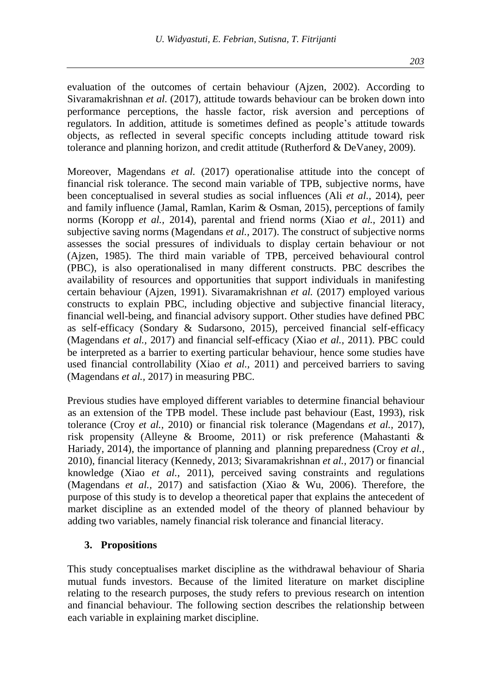evaluation of the outcomes of certain behaviour (Ajzen, 2002). According to Sivaramakrishnan *et al.* (2017), attitude towards behaviour can be broken down into performance perceptions, the hassle factor, risk aversion and perceptions of regulators. In addition, attitude is sometimes defined as people's attitude towards objects, as reflected in several specific concepts including attitude toward risk tolerance and planning horizon, and credit attitude (Rutherford  $&$  DeVaney, 2009).

Moreover, Magendans *et al.* (2017) operationalise attitude into the concept of financial risk tolerance. The second main variable of TPB, subjective norms, have been conceptualised in several studies as social influences (Ali *et al.,* 2014), peer and family influence (Jamal, Ramlan, Karim & Osman, 2015), perceptions of family norms (Koropp *et al.,* 2014), parental and friend norms (Xiao *et al.,* 2011) and subjective saving norms (Magendans *et al.,* 2017). The construct of subjective norms assesses the social pressures of individuals to display certain behaviour or not (Ajzen, 1985). The third main variable of TPB, perceived behavioural control (PBC), is also operationalised in many different constructs. PBC describes the availability of resources and opportunities that support individuals in manifesting certain behaviour (Ajzen, 1991). Sivaramakrishnan *et al.* (2017) employed various constructs to explain PBC, including objective and subjective financial literacy, financial well-being, and financial advisory support. Other studies have defined PBC as self-efficacy (Sondary & Sudarsono, 2015), perceived financial self-efficacy (Magendans *et al.,* 2017) and financial self-efficacy (Xiao *et al.,* 2011). PBC could be interpreted as a barrier to exerting particular behaviour, hence some studies have used financial controllability (Xiao *et al.,* 2011) and perceived barriers to saving (Magendans *et al.,* 2017) in measuring PBC.

Previous studies have employed different variables to determine financial behaviour as an extension of the TPB model. These include past behaviour (East, 1993), risk tolerance (Croy *et al.,* 2010) or financial risk tolerance (Magendans *et al.,* 2017), risk propensity (Alleyne & Broome, 2011) or risk preference (Mahastanti & Hariady, 2014), the importance of planning and planning preparedness (Croy *et al.,* 2010), financial literacy (Kennedy, 2013; Sivaramakrishnan *et al.,* 2017) or financial knowledge (Xiao *et al.,* 2011), perceived saving constraints and regulations (Magendans *et al.,* 2017) and satisfaction (Xiao & Wu, 2006). Therefore, the purpose of this study is to develop a theoretical paper that explains the antecedent of market discipline as an extended model of the theory of planned behaviour by adding two variables, namely financial risk tolerance and financial literacy.

#### **3. Propositions**

This study conceptualises market discipline as the withdrawal behaviour of Sharia mutual funds investors. Because of the limited literature on market discipline relating to the research purposes, the study refers to previous research on intention and financial behaviour. The following section describes the relationship between each variable in explaining market discipline.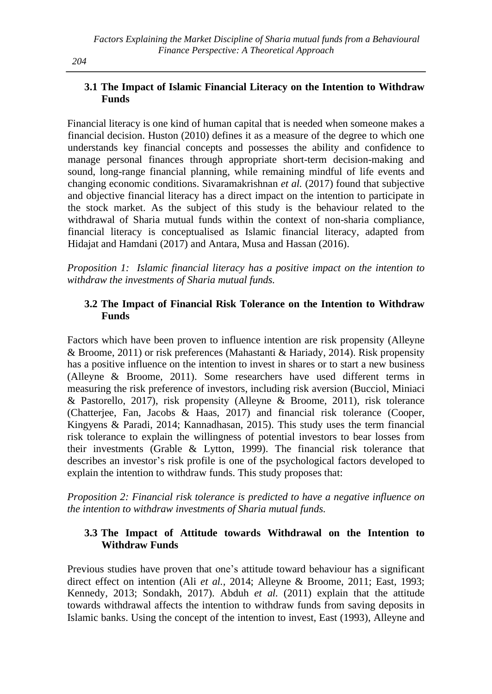### **3.1 The Impact of Islamic Financial Literacy on the Intention to Withdraw Funds**

Financial literacy is one kind of human capital that is needed when someone makes a financial decision. Huston (2010) defines it as a measure of the degree to which one understands key financial concepts and possesses the ability and confidence to manage personal finances through appropriate short-term decision-making and sound, long-range financial planning, while remaining mindful of life events and changing economic conditions. Sivaramakrishnan *et al.* (2017) found that subjective and objective financial literacy has a direct impact on the intention to participate in the stock market. As the subject of this study is the behaviour related to the withdrawal of Sharia mutual funds within the context of non-sharia compliance, financial literacy is conceptualised as Islamic financial literacy, adapted from Hidajat and Hamdani (2017) and Antara, Musa and Hassan (2016).

*Proposition 1: Islamic financial literacy has a positive impact on the intention to withdraw the investments of Sharia mutual funds.*

# **3.2 The Impact of Financial Risk Tolerance on the Intention to Withdraw Funds**

Factors which have been proven to influence intention are risk propensity (Alleyne & Broome, 2011) or risk preferences (Mahastanti & Hariady, 2014). Risk propensity has a positive influence on the intention to invest in shares or to start a new business (Alleyne & Broome, 2011). Some researchers have used different terms in measuring the risk preference of investors, including risk aversion (Bucciol, Miniaci & Pastorello, 2017), risk propensity (Alleyne & Broome, 2011), risk tolerance (Chatterjee, Fan, Jacobs & Haas, 2017) and financial risk tolerance (Cooper, Kingyens & Paradi, 2014; Kannadhasan, 2015). This study uses the term financial risk tolerance to explain the willingness of potential investors to bear losses from their investments (Grable & Lytton, 1999). The financial risk tolerance that describes an investor's risk profile is one of the psychological factors developed to explain the intention to withdraw funds. This study proposes that:

*Proposition 2: Financial risk tolerance is predicted to have a negative influence on the intention to withdraw investments of Sharia mutual funds.* 

# **3.3 The Impact of Attitude towards Withdrawal on the Intention to Withdraw Funds**

Previous studies have proven that one's attitude toward behaviour has a significant direct effect on intention (Ali *et al.,* 2014; Alleyne & Broome, 2011; East, 1993; Kennedy, 2013; Sondakh, 2017). Abduh *et al.* (2011) explain that the attitude towards withdrawal affects the intention to withdraw funds from saving deposits in Islamic banks. Using the concept of the intention to invest, East (1993), Alleyne and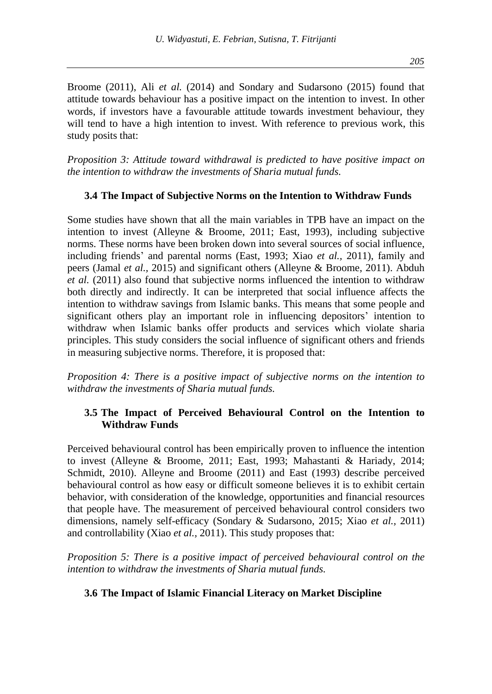Broome (2011), Ali *et al.* (2014) and Sondary and Sudarsono (2015) found that attitude towards behaviour has a positive impact on the intention to invest. In other words, if investors have a favourable attitude towards investment behaviour, they will tend to have a high intention to invest. With reference to previous work, this study posits that:

*Proposition 3: Attitude toward withdrawal is predicted to have positive impact on the intention to withdraw the investments of Sharia mutual funds.*

#### **3.4 The Impact of Subjective Norms on the Intention to Withdraw Funds**

Some studies have shown that all the main variables in TPB have an impact on the intention to invest (Alleyne & Broome, 2011; East, 1993), including subjective norms. These norms have been broken down into several sources of social influence, including friends' and parental norms (East, 1993; Xiao *et al.,* 2011), family and peers (Jamal *et al.,* 2015) and significant others (Alleyne & Broome, 2011). Abduh *et al.* (2011) also found that subjective norms influenced the intention to withdraw both directly and indirectly. It can be interpreted that social influence affects the intention to withdraw savings from Islamic banks. This means that some people and significant others play an important role in influencing depositors' intention to withdraw when Islamic banks offer products and services which violate sharia principles. This study considers the social influence of significant others and friends in measuring subjective norms. Therefore, it is proposed that:

*Proposition 4: There is a positive impact of subjective norms on the intention to withdraw the investments of Sharia mutual funds.*

### **3.5 The Impact of Perceived Behavioural Control on the Intention to Withdraw Funds**

Perceived behavioural control has been empirically proven to influence the intention to invest (Alleyne & Broome, 2011; East, 1993; Mahastanti & Hariady, 2014; Schmidt, 2010). Alleyne and Broome (2011) and East (1993) describe perceived behavioural control as how easy or difficult someone believes it is to exhibit certain behavior, with consideration of the knowledge, opportunities and financial resources that people have. The measurement of perceived behavioural control considers two dimensions, namely self-efficacy (Sondary & Sudarsono, 2015; Xiao *et al.,* 2011) and controllability (Xiao *et al.,* 2011). This study proposes that:

*Proposition 5: There is a positive impact of perceived behavioural control on the intention to withdraw the investments of Sharia mutual funds.*

#### **3.6 The Impact of Islamic Financial Literacy on Market Discipline**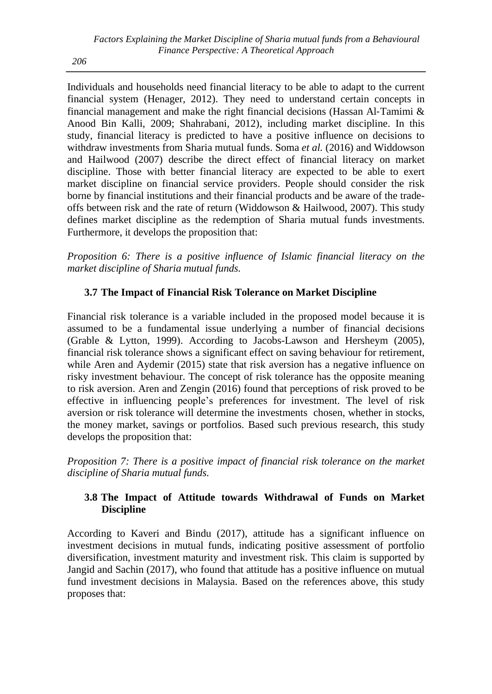*206*

Individuals and households need financial literacy to be able to adapt to the current financial system (Henager, 2012). They need to understand certain concepts in financial management and make the right financial decisions (Hassan Al-Tamimi  $\&$ Anood Bin Kalli, 2009; Shahrabani, 2012), including market discipline. In this study, financial literacy is predicted to have a positive influence on decisions to withdraw investments from Sharia mutual funds. Soma *et al.* (2016) and Widdowson and Hailwood (2007) describe the direct effect of financial literacy on market discipline. Those with better financial literacy are expected to be able to exert market discipline on financial service providers. People should consider the risk borne by financial institutions and their financial products and be aware of the tradeoffs between risk and the rate of return (Widdowson & Hailwood, 2007). This study defines market discipline as the redemption of Sharia mutual funds investments. Furthermore, it develops the proposition that:

*Proposition 6: There is a positive influence of Islamic financial literacy on the market discipline of Sharia mutual funds.* 

# **3.7 The Impact of Financial Risk Tolerance on Market Discipline**

Financial risk tolerance is a variable included in the proposed model because it is assumed to be a fundamental issue underlying a number of financial decisions (Grable & Lytton, 1999). According to Jacobs-Lawson and Hersheym (2005), financial risk tolerance shows a significant effect on saving behaviour for retirement, while Aren and Aydemir (2015) state that risk aversion has a negative influence on risky investment behaviour. The concept of risk tolerance has the opposite meaning to risk aversion. Aren and Zengin (2016) found that perceptions of risk proved to be effective in influencing people's preferences for investment. The level of risk aversion or risk tolerance will determine the investments chosen, whether in stocks, the money market, savings or portfolios. Based such previous research, this study develops the proposition that:

*Proposition 7: There is a positive impact of financial risk tolerance on the market discipline of Sharia mutual funds.*

# **3.8 The Impact of Attitude towards Withdrawal of Funds on Market Discipline**

According to Kaveri and Bindu (2017), attitude has a significant influence on investment decisions in mutual funds, indicating positive assessment of portfolio diversification, investment maturity and investment risk. This claim is supported by Jangid and Sachin (2017), who found that attitude has a positive influence on mutual fund investment decisions in Malaysia. Based on the references above, this study proposes that: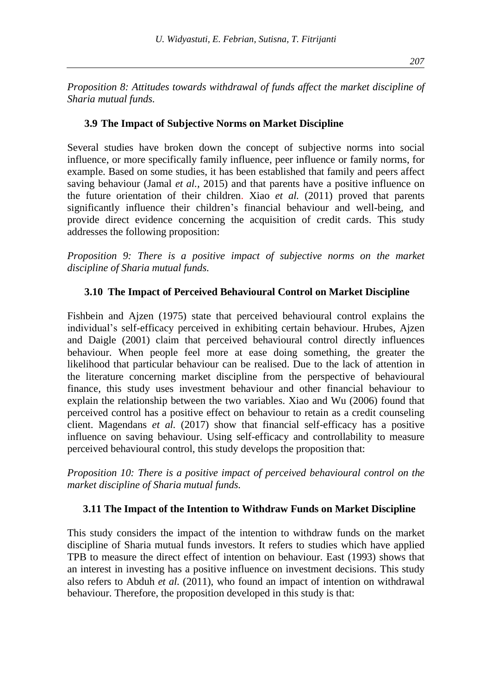*Proposition 8: Attitudes towards withdrawal of funds affect the market discipline of Sharia mutual funds.*

#### **3.9 The Impact of Subjective Norms on Market Discipline**

Several studies have broken down the concept of subjective norms into social influence, or more specifically family influence, peer influence or family norms, for example. Based on some studies, it has been established that family and peers affect saving behaviour (Jamal *et al.,* 2015) and that parents have a positive influence on the future orientation of their children. Xiao *et al.* (2011) proved that parents significantly influence their children's financial behaviour and well-being, and provide direct evidence concerning the acquisition of credit cards. This study addresses the following proposition:

*Proposition 9: There is a positive impact of subjective norms on the market discipline of Sharia mutual funds.*

#### **3.10 The Impact of Perceived Behavioural Control on Market Discipline**

Fishbein and Ajzen (1975) state that perceived behavioural control explains the individual's self-efficacy perceived in exhibiting certain behaviour. Hrubes, Ajzen and Daigle (2001) claim that perceived behavioural control directly influences behaviour. When people feel more at ease doing something, the greater the likelihood that particular behaviour can be realised. Due to the lack of attention in the literature concerning market discipline from the perspective of behavioural finance, this study uses investment behaviour and other financial behaviour to explain the relationship between the two variables. Xiao and Wu (2006) found that perceived control has a positive effect on behaviour to retain as a credit counseling client. Magendans *et al.* (2017) show that financial self-efficacy has a positive influence on saving behaviour. Using self-efficacy and controllability to measure perceived behavioural control, this study develops the proposition that:

*Proposition 10: There is a positive impact of perceived behavioural control on the market discipline of Sharia mutual funds.*

#### **3.11 The Impact of the Intention to Withdraw Funds on Market Discipline**

This study considers the impact of the intention to withdraw funds on the market discipline of Sharia mutual funds investors. It refers to studies which have applied TPB to measure the direct effect of intention on behaviour. East (1993) shows that an interest in investing has a positive influence on investment decisions. This study also refers to Abduh *et al.* (2011), who found an impact of intention on withdrawal behaviour. Therefore, the proposition developed in this study is that: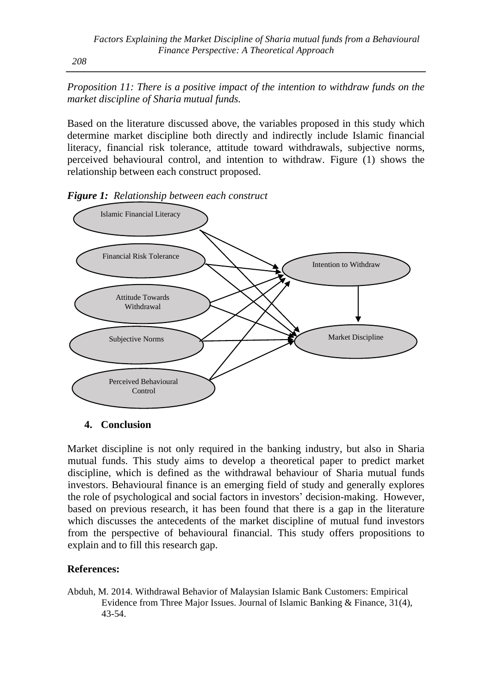*Proposition 11: There is a positive impact of the intention to withdraw funds on the market discipline of Sharia mutual funds.*

Based on the literature discussed above, the variables proposed in this study which determine market discipline both directly and indirectly include Islamic financial literacy, financial risk tolerance, attitude toward withdrawals, subjective norms, perceived behavioural control, and intention to withdraw. Figure (1) shows the relationship between each construct proposed.



*Figure 1: Relationship between each construct*

### **4. Conclusion**

Market discipline is not only required in the banking industry, but also in Sharia mutual funds. This study aims to develop a theoretical paper to predict market discipline, which is defined as the withdrawal behaviour of Sharia mutual funds investors. Behavioural finance is an emerging field of study and generally explores the role of psychological and social factors in investors' decision-making. However, based on previous research, it has been found that there is a gap in the literature which discusses the antecedents of the market discipline of mutual fund investors from the perspective of behavioural financial. This study offers propositions to explain and to fill this research gap.

### **References:**

Abduh, M. 2014. Withdrawal Behavior of Malaysian Islamic Bank Customers: Empirical Evidence from Three Major Issues. Journal of Islamic Banking & Finance, 31(4), 43-54.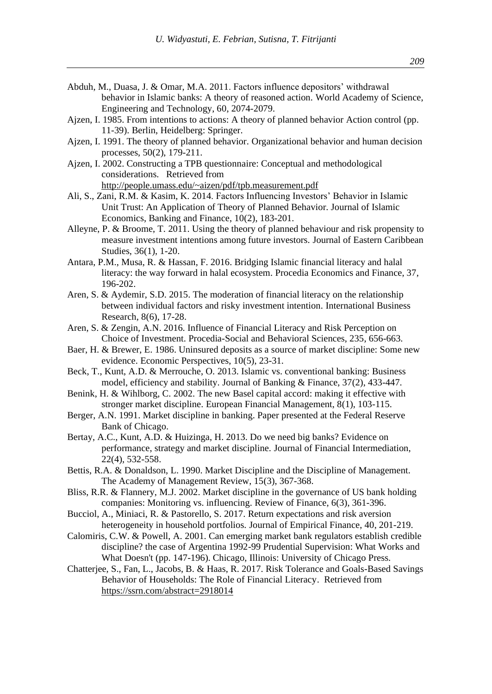- Abduh, M., Duasa, J. & Omar, M.A. 2011. Factors influence depositors' withdrawal behavior in Islamic banks: A theory of reasoned action. World Academy of Science, Engineering and Technology, 60, 2074-2079.
- Ajzen, I. 1985. From intentions to actions: A theory of planned behavior Action control (pp. 11-39). Berlin, Heidelberg: Springer.
- Ajzen, I. 1991. The theory of planned behavior. Organizational behavior and human decision processes, 50(2), 179-211.
- Ajzen, I. 2002. Constructing a TPB questionnaire: Conceptual and methodological considerations. Retrieved from <http://people.umass.edu/~aizen/pdf/tpb.measurement.pdf>
- Ali, S., Zani, R.M. & Kasim, K. 2014. Factors Influencing Investors' Behavior in Islamic Unit Trust: An Application of Theory of Planned Behavior. Journal of Islamic Economics, Banking and Finance, 10(2), 183-201.
- Alleyne, P. & Broome, T. 2011. Using the theory of planned behaviour and risk propensity to measure investment intentions among future investors. Journal of Eastern Caribbean Studies, 36(1), 1-20.
- Antara, P.M., Musa, R. & Hassan, F. 2016. Bridging Islamic financial literacy and halal literacy: the way forward in halal ecosystem. Procedia Economics and Finance, 37, 196-202.
- Aren, S. & Aydemir, S.D. 2015. The moderation of financial literacy on the relationship between individual factors and risky investment intention. International Business Research, 8(6), 17-28.
- Aren, S. & Zengin, A.N. 2016. Influence of Financial Literacy and Risk Perception on Choice of Investment. Procedia-Social and Behavioral Sciences, 235, 656-663.
- Baer, H. & Brewer, E. 1986. Uninsured deposits as a source of market discipline: Some new evidence. Economic Perspectives, 10(5), 23-31.
- Beck, T., Kunt, A.D. & Merrouche, O. 2013. Islamic vs. conventional banking: Business model, efficiency and stability. Journal of Banking & Finance, 37(2), 433-447.
- Benink, H. & Wihlborg, C. 2002. The new Basel capital accord: making it effective with stronger market discipline. European Financial Management, 8(1), 103-115.
- Berger, A.N. 1991. Market discipline in banking. Paper presented at the Federal Reserve Bank of Chicago.
- Bertay, A.C., Kunt, A.D. & Huizinga, H. 2013. Do we need big banks? Evidence on performance, strategy and market discipline. Journal of Financial Intermediation, 22(4), 532-558.
- Bettis, R.A. & Donaldson, L. 1990. Market Discipline and the Discipline of Management. The Academy of Management Review, 15(3), 367-368.
- Bliss, R.R. & Flannery, M.J. 2002. Market discipline in the governance of US bank holding companies: Monitoring vs. influencing. Review of Finance, 6(3), 361-396.
- Bucciol, A., Miniaci, R. & Pastorello, S. 2017. Return expectations and risk aversion heterogeneity in household portfolios. Journal of Empirical Finance, 40, 201-219.
- Calomiris, C.W. & Powell, A. 2001. Can emerging market bank regulators establish credible discipline? the case of Argentina 1992-99 Prudential Supervision: What Works and What Doesn't (pp. 147-196). Chicago, Illinois: University of Chicago Press.
- Chatterjee, S., Fan, L., Jacobs, B. & Haas, R. 2017. Risk Tolerance and Goals-Based Savings Behavior of Households: The Role of Financial Literacy. Retrieved from <https://ssrn.com/abstract=2918014>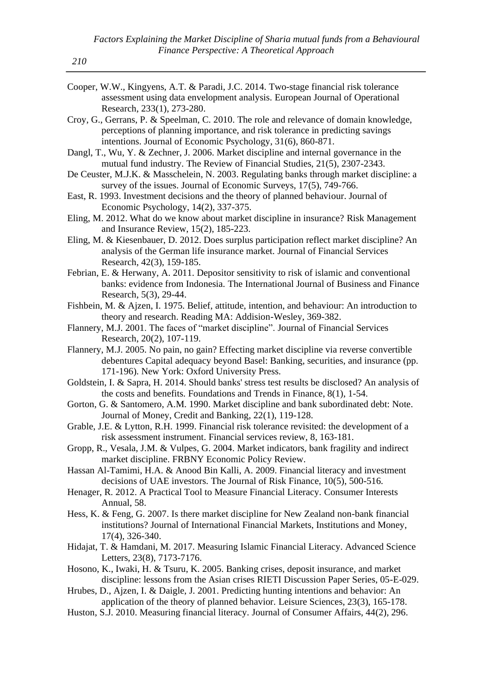- Cooper, W.W., Kingyens, A.T. & Paradi, J.C. 2014. Two-stage financial risk tolerance assessment using data envelopment analysis. European Journal of Operational Research, 233(1), 273-280.
- Croy, G., Gerrans, P. & Speelman, C. 2010. The role and relevance of domain knowledge, perceptions of planning importance, and risk tolerance in predicting savings intentions. Journal of Economic Psychology, 31(6), 860-871.
- Dangl, T., Wu, Y. & Zechner, J. 2006. Market discipline and internal governance in the mutual fund industry. The Review of Financial Studies, 21(5), 2307-2343.
- De Ceuster, M.J.K. & Masschelein, N. 2003. Regulating banks through market discipline: a survey of the issues. Journal of Economic Surveys, 17(5), 749-766.
- East, R. 1993. Investment decisions and the theory of planned behaviour. Journal of Economic Psychology, 14(2), 337-375.
- Eling, M. 2012. What do we know about market discipline in insurance? Risk Management and Insurance Review, 15(2), 185-223.
- Eling, M. & Kiesenbauer, D. 2012. Does surplus participation reflect market discipline? An analysis of the German life insurance market. Journal of Financial Services Research, 42(3), 159-185.
- Febrian, E. & Herwany, A. 2011. Depositor sensitivity to risk of islamic and conventional banks: evidence from Indonesia. The International Journal of Business and Finance Research, 5(3), 29-44.
- Fishbein, M. & Ajzen, I. 1975. Belief, attitude, intention, and behaviour: An introduction to theory and research. Reading MA: Addision-Wesley, 369-382.
- Flannery, M.J. 2001. The faces of "market discipline". Journal of Financial Services Research, 20(2), 107-119.
- Flannery, M.J. 2005. No pain, no gain? Effecting market discipline via reverse convertible debentures Capital adequacy beyond Basel: Banking, securities, and insurance (pp. 171-196). New York: Oxford University Press.
- Goldstein, I. & Sapra, H. 2014. Should banks' stress test results be disclosed? An analysis of the costs and benefits. Foundations and Trends in Finance, 8(1), 1-54.
- Gorton, G. & Santomero, A.M. 1990. Market discipline and bank subordinated debt: Note. Journal of Money, Credit and Banking, 22(1), 119-128.
- Grable, J.E. & Lytton, R.H. 1999. Financial risk tolerance revisited: the development of a risk assessment instrument. Financial services review, 8, 163-181.
- Gropp, R., Vesala, J.M. & Vulpes, G. 2004. Market indicators, bank fragility and indirect market discipline. FRBNY Economic Policy Review.
- Hassan Al-Tamimi, H.A. & Anood Bin Kalli, A. 2009. Financial literacy and investment decisions of UAE investors. The Journal of Risk Finance, 10(5), 500-516.
- Henager, R. 2012. A Practical Tool to Measure Financial Literacy. Consumer Interests Annual, 58.
- Hess, K. & Feng, G. 2007. Is there market discipline for New Zealand non-bank financial institutions? Journal of International Financial Markets, Institutions and Money, 17(4), 326-340.
- Hidajat, T. & Hamdani, M. 2017. Measuring Islamic Financial Literacy. Advanced Science Letters, 23(8), 7173-7176.
- Hosono, K., Iwaki, H. & Tsuru, K. 2005. Banking crises, deposit insurance, and market discipline: lessons from the Asian crises RIETI Discussion Paper Series, 05-E-029.
- Hrubes, D., Ajzen, I. & Daigle, J. 2001. Predicting hunting intentions and behavior: An application of the theory of planned behavior. Leisure Sciences, 23(3), 165-178.
- Huston, S.J. 2010. Measuring financial literacy. Journal of Consumer Affairs, 44(2), 296.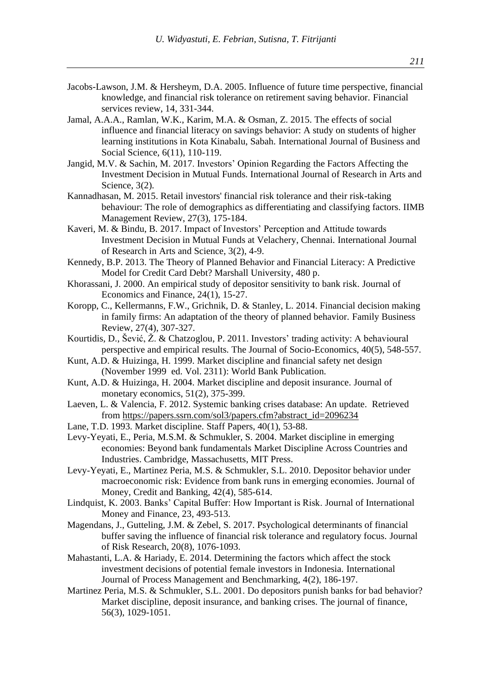- Jacobs-Lawson, J.M. & Hersheym, D.A. 2005. Influence of future time perspective, financial knowledge, and financial risk tolerance on retirement saving behavior. Financial services review, 14, 331-344.
- Jamal, A.A.A., Ramlan, W.K., Karim, M.A. & Osman, Z. 2015. The effects of social influence and financial literacy on savings behavior: A study on students of higher learning institutions in Kota Kinabalu, Sabah. International Journal of Business and Social Science, 6(11), 110-119.
- Jangid, M.V. & Sachin, M. 2017. Investors' Opinion Regarding the Factors Affecting the Investment Decision in Mutual Funds. International Journal of Research in Arts and Science, 3(2).
- Kannadhasan, M. 2015. Retail investors' financial risk tolerance and their risk-taking behaviour: The role of demographics as differentiating and classifying factors. IIMB Management Review, 27(3), 175-184.
- Kaveri, M. & Bindu, B. 2017. Impact of Investors' Perception and Attitude towards Investment Decision in Mutual Funds at Velachery, Chennai. International Journal of Research in Arts and Science, 3(2), 4-9.
- Kennedy, B.P. 2013. The Theory of Planned Behavior and Financial Literacy: A Predictive Model for Credit Card Debt? Marshall University, 480 p.
- Khorassani, J. 2000. An empirical study of depositor sensitivity to bank risk. Journal of Economics and Finance, 24(1), 15-27.
- Koropp, C., Kellermanns, F.W., Grichnik, D. & Stanley, L. 2014. Financial decision making in family firms: An adaptation of the theory of planned behavior. Family Business Review, 27(4), 307-327.
- Kourtidis, D., Šević, Ž. & Chatzoglou, P. 2011. Investors' trading activity: A behavioural perspective and empirical results. The Journal of Socio-Economics, 40(5), 548-557.
- Kunt, A.D. & Huizinga, H. 1999. Market discipline and financial safety net design (November 1999 ed. Vol. 2311): World Bank Publication.
- Kunt, A.D. & Huizinga, H. 2004. Market discipline and deposit insurance. Journal of monetary economics, 51(2), 375-399.
- Laeven, L. & Valencia, F. 2012. Systemic banking crises database: An update. Retrieved from [https://papers.ssrn.com/sol3/papers.cfm?abstract\\_id=2096234](https://papers.ssrn.com/sol3/papers.cfm?abstract_id=2096234)
- Lane, T.D. 1993. Market discipline. Staff Papers, 40(1), 53-88.
- Levy-Yeyati, E., Peria, M.S.M. & Schmukler, S. 2004. Market discipline in emerging economies: Beyond bank fundamentals Market Discipline Across Countries and Industries. Cambridge, Massachusetts, MIT Press.
- Levy‐Yeyati, E., Martinez Peria, M.S. & Schmukler, S.L. 2010. Depositor behavior under macroeconomic risk: Evidence from bank runs in emerging economies. Journal of Money, Credit and Banking, 42(4), 585-614.
- Lindquist, K. 2003. Banks' Capital Buffer: How Important is Risk. Journal of International Money and Finance, 23, 493-513.
- Magendans, J., Gutteling, J.M. & Zebel, S. 2017. Psychological determinants of financial buffer saving the influence of financial risk tolerance and regulatory focus. Journal of Risk Research, 20(8), 1076-1093.
- Mahastanti, L.A. & Hariady, E. 2014. Determining the factors which affect the stock investment decisions of potential female investors in Indonesia. International Journal of Process Management and Benchmarking, 4(2), 186-197.
- Martinez Peria, M.S. & Schmukler, S.L. 2001. Do depositors punish banks for bad behavior? Market discipline, deposit insurance, and banking crises. The journal of finance, 56(3), 1029-1051.